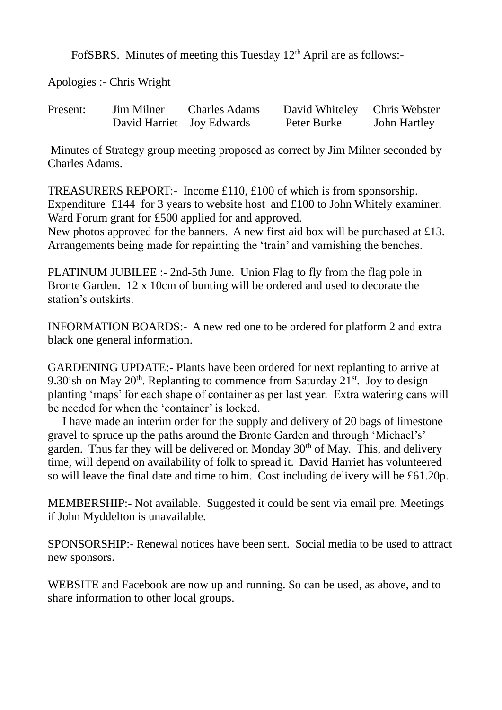FofSBRS. Minutes of meeting this Tuesday 12<sup>th</sup> April are as follows:-

Apologies :- Chris Wright

| Present: | Jim Milner                | <b>Charles Adams</b> | David Whiteley Chris Webster |              |
|----------|---------------------------|----------------------|------------------------------|--------------|
|          | David Harriet Joy Edwards |                      | Peter Burke                  | John Hartley |

Minutes of Strategy group meeting proposed as correct by Jim Milner seconded by Charles Adams.

TREASURERS REPORT:- Income £110, £100 of which is from sponsorship. Expenditure £144 for 3 years to website host and £100 to John Whitely examiner. Ward Forum grant for £500 applied for and approved.

New photos approved for the banners. A new first aid box will be purchased at £13. Arrangements being made for repainting the 'train' and varnishing the benches.

PLATINUM JUBILEE :- 2nd-5th June. Union Flag to fly from the flag pole in Bronte Garden. 12 x 10cm of bunting will be ordered and used to decorate the station's outskirts.

INFORMATION BOARDS:- A new red one to be ordered for platform 2 and extra black one general information.

GARDENING UPDATE:- Plants have been ordered for next replanting to arrive at 9.30ish on May  $20<sup>th</sup>$ . Replanting to commence from Saturday  $21<sup>st</sup>$ . Joy to design planting 'maps' for each shape of container as per last year. Extra watering cans will be needed for when the 'container' is locked.

 I have made an interim order for the supply and delivery of 20 bags of limestone gravel to spruce up the paths around the Bronte Garden and through 'Michael's' garden. Thus far they will be delivered on Monday  $30<sup>th</sup>$  of May. This, and delivery time, will depend on availability of folk to spread it. David Harriet has volunteered so will leave the final date and time to him. Cost including delivery will be £61.20p.

MEMBERSHIP:- Not available. Suggested it could be sent via email pre. Meetings if John Myddelton is unavailable.

SPONSORSHIP:- Renewal notices have been sent. Social media to be used to attract new sponsors.

WEBSITE and Facebook are now up and running. So can be used, as above, and to share information to other local groups.